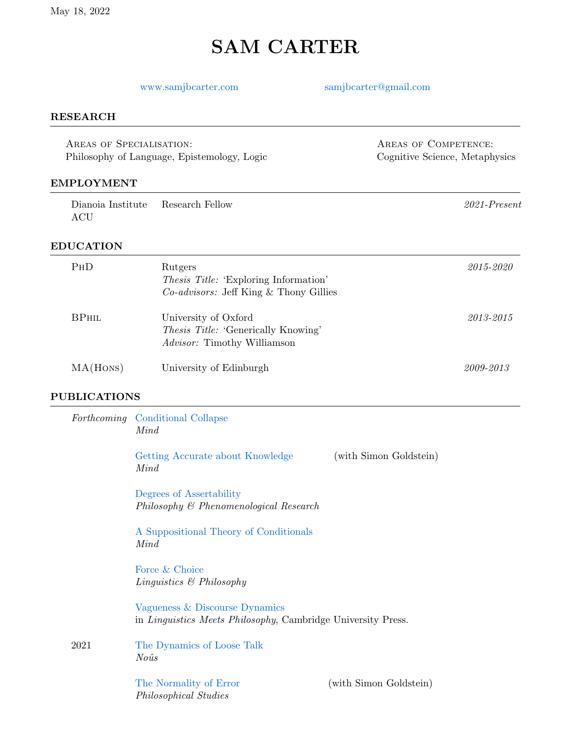# SAM CARTER

# <www.samjbcarter.com> [samjbcarter@gmail.com](mailto: samjbcarter@gmail.com)

AREAS OF COMPETENCE: Cognitive Science, Metaphysics

#### RESEARCH

Areas of Specialisation: Philosophy of Language, Epistemology, Logic

#### EMPLOYMENT

| Dianoia Institute Research Fellow |  | $2021$ -Present |
|-----------------------------------|--|-----------------|
| ACU                               |  |                 |

### EDUCATION

| <b>PHD</b>   | Rutgers<br><i>Thesis Title:</i> 'Exploring Information'<br><i>Co-advisors:</i> Jeff King & Thony Gillies | 2015-2020 |
|--------------|----------------------------------------------------------------------------------------------------------|-----------|
| <b>BPHIL</b> | University of Oxford<br><i>Thesis Title:</i> 'Generically Knowing'<br><i>Advisor:</i> Timothy Williamson | 2013-2015 |
| MA(HONS)     | University of Edinburgh                                                                                  | 2009-2013 |

#### PUBLICATIONS

|      | <i>Forthcoming</i> Conditional Collapse<br>Mind                                                        |                        |
|------|--------------------------------------------------------------------------------------------------------|------------------------|
|      | Getting Accurate about Knowledge<br>Mind                                                               | (with Simon Goldstein) |
|      | Degrees of Assertability<br>Philosophy & Phenomenological Research                                     |                        |
|      | A Suppositional Theory of Conditionals<br>Mind                                                         |                        |
|      | Force & Choice<br>Linguistics $\&$ Philosophy                                                          |                        |
|      | Vagueness & Discourse Dynamics<br>in <i>Linguistics Meets Philosophy</i> , Cambridge University Press. |                        |
| 2021 | The Dynamics of Loose Talk<br>$No\hat{u}s$                                                             |                        |
|      | The Normality of Error<br>Philosophical Studies                                                        | (with Simon Goldstein) |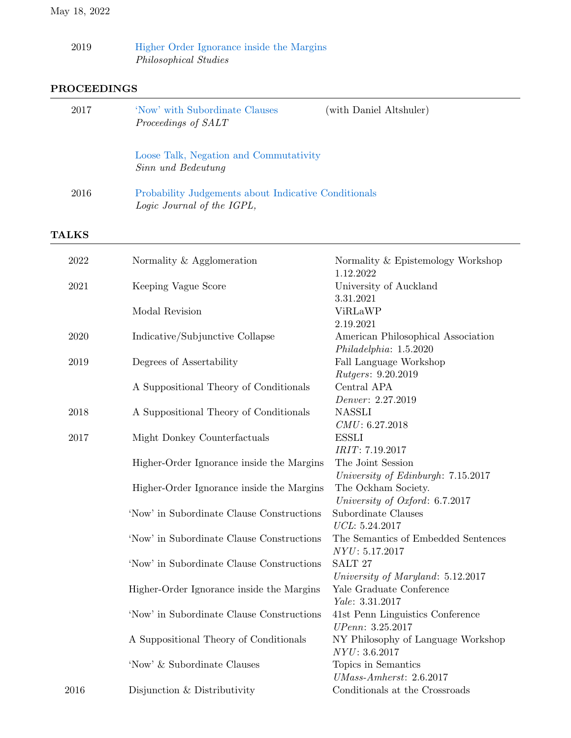| 2019 |  | Higher Order Ignorance inside the Margins |  |  |
|------|--|-------------------------------------------|--|--|
|      |  | Philosophical Studies                     |  |  |

# PROCEEDINGS

| 2016 | Probability Judgements about Indicative Conditionals<br>Logic Journal of the IGPL, |  |
|------|------------------------------------------------------------------------------------|--|
|      | Loose Talk, Negation and Commutativity<br>Sinn und Bedeutung                       |  |
| 2017 | (with Daniel Altshuler)<br>'Now' with Subordinate Clauses<br>Proceedings of SALT   |  |

| 2022 | Normality & Agglomeration                 | Normality & Epistemology Workshop   |
|------|-------------------------------------------|-------------------------------------|
|      |                                           | 1.12.2022                           |
| 2021 | Keeping Vague Score                       | University of Auckland              |
|      |                                           | 3.31.2021                           |
|      | Modal Revision                            | ViRLaWP                             |
|      |                                           | 2.19.2021                           |
| 2020 | Indicative/Subjunctive Collapse           | American Philosophical Association  |
|      |                                           | Philadelpha: 1.5.2020               |
| 2019 | Degrees of Assertability                  | Fall Language Workshop              |
|      |                                           | <i>Rutgers:</i> 9.20.2019           |
|      | A Suppositional Theory of Conditionals    | Central APA                         |
|      |                                           | Denver: 2.27.2019                   |
| 2018 | A Suppositional Theory of Conditionals    | <b>NASSLI</b>                       |
|      |                                           | CMU: 6.27.2018                      |
| 2017 | Might Donkey Counterfactuals              | <b>ESSLI</b>                        |
|      |                                           | IRIT: 7.19.2017                     |
|      | Higher-Order Ignorance inside the Margins | The Joint Session                   |
|      |                                           | University of Edinburgh: 7.15.2017  |
|      | Higher-Order Ignorance inside the Margins | The Ockham Society.                 |
|      |                                           | University of Oxford: 6.7.2017      |
|      | 'Now' in Subordinate Clause Constructions | Subordinate Clauses                 |
|      |                                           | UCL: 5.24.2017                      |
|      | 'Now' in Subordinate Clause Constructions | The Semantics of Embedded Sentences |
|      |                                           | NYU: 5.17.2017                      |
|      | 'Now' in Subordinate Clause Constructions | SALT <sub>27</sub>                  |
|      |                                           | University of Maryland: 5.12.2017   |
|      | Higher-Order Ignorance inside the Margins | Yale Graduate Conference            |
|      |                                           | Yale: 3.31.2017                     |
|      | 'Now' in Subordinate Clause Constructions | 41st Penn Linguistics Conference    |
|      |                                           | UPenn: 3.25.2017                    |
|      | A Suppositional Theory of Conditionals    | NY Philosophy of Language Workshop  |
|      |                                           | NYU: 3.6.2017                       |
|      | 'Now' & Subordinate Clauses               | Topics in Semantics                 |
|      |                                           | $UMass-Amherst: 2.6.2017$           |
| 2016 | Disjunction & Distributivity              | Conditionals at the Crossroads      |